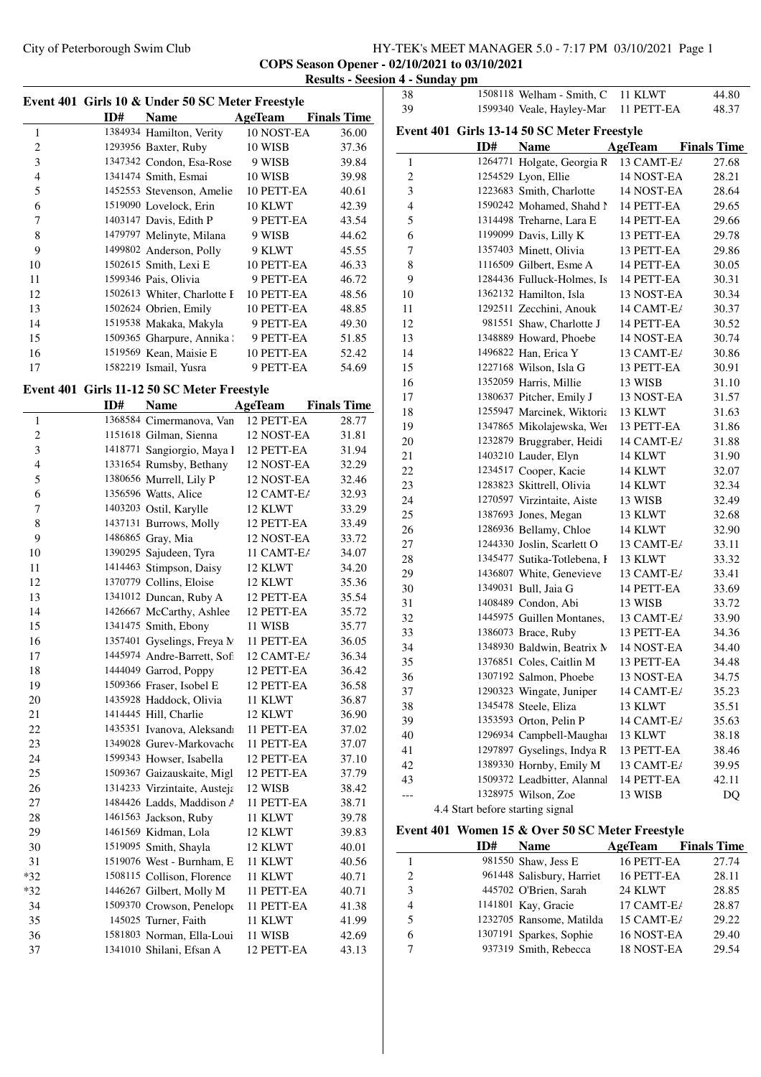## City of Peterborough Swim Club HY-TEK's MEET MANAGER 5.0 - 7:17 PM 03/10/2021 Page 1 **COPS Season Opener - 02/10/2021 to 03/10/2021**

|                          |     |                                                  |                | Results - Dec      |
|--------------------------|-----|--------------------------------------------------|----------------|--------------------|
|                          |     | Event 401 Girls 10 & Under 50 SC Meter Freestyle |                |                    |
|                          | ID# | <b>Name</b>                                      | AgeTeam        | <b>Finals Time</b> |
| $\mathbf{1}$             |     | 1384934 Hamilton, Verity                         | 10 NOST-EA     | 36.00              |
| $\overline{c}$           |     | 1293956 Baxter, Ruby                             | 10 WISB        | 37.36              |
| 3                        |     | 1347342 Condon, Esa-Rose                         | 9 WISB         | 39.84              |
| $\overline{\mathcal{L}}$ |     | 1341474 Smith, Esmai                             | 10 WISB        | 39.98              |
| 5                        |     | 1452553 Stevenson, Amelie                        | 10 PETT-EA     | 40.61              |
| 6                        |     | 1519090 Lovelock, Erin                           | 10 KLWT        | 42.39              |
| 7                        |     | 1403147 Davis, Edith P                           | 9 PETT-EA      | 43.54              |
| 8                        |     | 1479797 Melinyte, Milana                         | 9 WISB         | 44.62              |
| 9                        |     | 1499802 Anderson, Polly                          | 9 KLWT         | 45.55              |
| 10                       |     | 1502615 Smith, Lexi E                            | 10 PETT-EA     | 46.33              |
| 11                       |     | 1599346 Pais, Olivia                             | 9 PETT-EA      | 46.72              |
| 12                       |     | 1502613 Whiter, Charlotte I                      | 10 PETT-EA     | 48.56              |
| 13                       |     | 1502624 Obrien, Emily                            | 10 PETT-EA     | 48.85              |
| 14                       |     | 1519538 Makaka, Makyla                           | 9 PETT-EA      | 49.30              |
| 15                       |     | 1509365 Gharpure, Annika :                       | 9 PETT-EA      | 51.85              |
| 16                       |     | 1519569 Kean, Maisie E                           | 10 PETT-EA     | 52.42              |
| 17                       |     | 1582219 Ismail, Yusra                            | 9 PETT-EA      | 54.69              |
|                          |     |                                                  |                |                    |
|                          |     | Event 401 Girls 11-12 50 SC Meter Freestyle      |                |                    |
|                          | ID# | <b>Name</b>                                      | <b>AgeTeam</b> | <b>Finals Time</b> |
| $\mathbf{1}$             |     | 1368584 Cimermanova, Van                         | 12 PETT-EA     | 28.77              |
| $\overline{c}$           |     | 1151618 Gilman, Sienna                           | 12 NOST-EA     | 31.81              |
| 3                        |     | 1418771 Sangiorgio, Maya l                       | 12 PETT-EA     | 31.94              |
| $\overline{\mathbf{4}}$  |     | 1331654 Rumsby, Bethany                          | 12 NOST-EA     | 32.29              |
| 5                        |     | 1380656 Murrell, Lily P                          | 12 NOST-EA     | 32.46              |
| 6                        |     | 1356596 Watts, Alice                             | 12 CAMT-E/     | 32.93              |
| 7                        |     | 1403203 Ostil, Karylle                           | 12 KLWT        | 33.29              |
| 8                        |     | 1437131 Burrows, Molly                           | 12 PETT-EA     | 33.49              |
| 9                        |     | 1486865 Gray, Mia                                | 12 NOST-EA     | 33.72              |
| 10                       |     | 1390295 Sajudeen, Tyra                           | 11 CAMT-E/     | 34.07              |
| 11                       |     | 1414463 Stimpson, Daisy                          | 12 KLWT        | 34.20              |
| 12                       |     | 1370779 Collins, Eloise                          | 12 KLWT        | 35.36              |
| 13                       |     | 1341012 Duncan, Ruby A                           | 12 PETT-EA     | 35.54              |
| 14                       |     | 1426667 McCarthy, Ashlee                         | 12 PETT-EA     | 35.72              |
| 15                       |     | 1341475 Smith, Ebony                             | 11 WISB        | 35.77              |
| 16                       |     | 1357401 Gyselings, Freya N                       | 11 PETT-EA     | 36.05              |
| 17                       |     | 1445974 Andre-Barrett, Sofi                      | 12 CAMT-E/     | 36.34              |
| 18                       |     | 1444049 Garrod, Poppy                            | 12 PETT-EA     | 36.42              |
| 19                       |     | 1509366 Fraser, Isobel E                         | 12 PETT-EA     | 36.58              |
| 20                       |     | 1435928 Haddock, Olivia                          | 11 KLWT        | 36.87              |
| 21                       |     | 1414445 Hill, Charlie                            | 12 KLWT        | 36.90              |
| 22                       |     | 1435351 Ivanova, Aleksandı                       | 11 PETT-EA     | 37.02              |
| 23                       |     | 1349028 Gurev-Markovache                         | 11 PETT-EA     | 37.07              |
| 24                       |     | 1599343 Howser, Isabella                         | 12 PETT-EA     | 37.10              |
| 25                       |     | 1509367 Gaizauskaite, Migl                       | 12 PETT-EA     | 37.79              |
| 26                       |     | 1314233 Virzintaite, Austeja                     | 12 WISB        | 38.42              |
| 27                       |     | 1484426 Ladds, Maddison A                        | 11 PETT-EA     | 38.71              |
| 28                       |     | 1461563 Jackson, Ruby                            | 11 KLWT        | 39.78              |
| 29                       |     | 1461569 Kidman, Lola                             | 12 KLWT        | 39.83              |
| 30                       |     | 1519095 Smith, Shayla                            | 12 KLWT        | 40.01              |
| 31                       |     | 1519076 West - Burnham, E                        | 11 KLWT        | 40.56              |
| $*32$                    |     | 1508115 Collison, Florence                       | 11 KLWT        | 40.71              |
| $*32$                    |     | 1446267 Gilbert, Molly M                         | 11 PETT-EA     | 40.71              |
| 34                       |     | 1509370 Crowson, Penelope                        | 11 PETT-EA     | 41.38              |
| 35                       |     | 145025 Turner, Faith                             | 11 KLWT        | 41.99              |
| 36                       |     | 1581803 Norman, Ella-Loui                        | 11 WISB        | 42.69              |
| 37                       |     | 1341010 Shilani, Efsan A                         | 12 PETT-EA     | 43.13              |
|                          |     |                                                  |                |                    |

|   |                    | Results - Seesion 4 - Sunday pm |                                  |                                                  |                          |                    |
|---|--------------------|---------------------------------|----------------------------------|--------------------------------------------------|--------------------------|--------------------|
|   |                    | 38                              |                                  | 1508118 Welham - Smith, C                        | 11 KLWT                  | 44.80              |
|   | <b>Finals Time</b> | 39                              |                                  | 1599340 Veale, Hayley-Mari                       | 11 PETT-EA               | 48.37              |
|   |                    |                                 |                                  | Event 401 Girls 13-14 50 SC Meter Freestyle      |                          |                    |
|   | 36.00              |                                 |                                  |                                                  |                          |                    |
|   | 37.36              |                                 | ID#                              | <b>Name</b>                                      | AgeTeam                  | <b>Finals Time</b> |
|   | 39.84              | 1                               |                                  | 1264771 Holgate, Georgia R                       | 13 CAMT-E/               | 27.68              |
|   | 39.98              | $\sqrt{2}$                      |                                  | 1254529 Lyon, Ellie                              | 14 NOST-EA               | 28.21              |
|   | 40.61              | 3                               |                                  | 1223683 Smith, Charlotte                         | 14 NOST-EA               | 28.64              |
|   | 42.39              | $\overline{4}$                  |                                  | 1590242 Mohamed, Shahd N                         | 14 PETT-EA               | 29.65              |
|   | 43.54              | 5                               |                                  | 1314498 Treharne, Lara E                         | 14 PETT-EA               | 29.66              |
|   | 44.62              | 6                               |                                  | 1199099 Davis, Lilly K                           | 13 PETT-EA               | 29.78              |
|   | 45.55              | 7                               |                                  | 1357403 Minett, Olivia                           | 13 PETT-EA               | 29.86              |
|   | 46.33              | $\,$ 8 $\,$                     |                                  | 1116509 Gilbert, Esme A                          | 14 PETT-EA               | 30.05              |
|   | 46.72              | 9                               |                                  | 1284436 Fulluck-Holmes, Is                       | 14 PETT-EA               | 30.31              |
|   | 48.56              | 10                              |                                  | 1362132 Hamilton, Isla                           | 13 NOST-EA               | 30.34              |
|   | 48.85              | 11                              |                                  | 1292511 Zecchini, Anouk                          | 14 CAMT-E/               | 30.37              |
|   | 49.30              | 12                              |                                  | 981551 Shaw, Charlotte J                         | 14 PETT-EA               | 30.52              |
|   | 51.85              | 13                              |                                  | 1348889 Howard, Phoebe                           | 14 NOST-EA               | 30.74              |
|   | 52.42              | 14                              |                                  | 1496822 Han, Erica Y                             | 13 CAMT-E/               | 30.86              |
|   | 54.69              | 15                              |                                  | 1227168 Wilson, Isla G                           | 13 PETT-EA               | 30.91              |
|   |                    | 16                              |                                  | 1352059 Harris, Millie                           | 13 WISB                  | 31.10              |
|   | <b>Finals Time</b> | 17                              |                                  | 1380637 Pitcher, Emily J                         | 13 NOST-EA               | 31.57              |
|   | 28.77              | 18                              |                                  | 1255947 Marcinek, Wiktoria                       | 13 KLWT                  | 31.63              |
| ١ | 31.81              | 19                              |                                  | 1347865 Mikolajewska, Wei                        | 13 PETT-EA               | 31.86              |
|   | 31.94              | 20                              |                                  | 1232879 Bruggraber, Heidi                        | 14 CAMT-E/               | 31.88              |
| ۱ | 32.29              | 21                              |                                  | 1403210 Lauder, Elyn                             | 14 KLWT                  | 31.90              |
| ۱ | 32.46              | 22                              |                                  | 1234517 Cooper, Kacie                            | 14 KLWT                  | 32.07              |
| ŀ | 32.93              | 23                              |                                  | 1283823 Skittrell, Olivia                        | 14 KLWT                  | 32.34              |
|   | 33.29              | 24                              |                                  | 1270597 Virzintaite, Aiste                       | 13 WISB                  | 32.49              |
|   | 33.49              | 25                              |                                  | 1387693 Jones, Megan                             | 13 KLWT                  | 32.68              |
| ۱ | 33.72              | 26                              |                                  | 1286936 Bellamy, Chloe                           | 14 KLWT                  | 32.90              |
| ŀ | 34.07              | 27                              |                                  | 1244330 Joslin, Scarlett O                       | 13 CAMT-E/               | 33.11              |
|   | 34.20              | 28                              |                                  | 1345477 Sutika-Totlebena, I                      | 13 KLWT                  | 33.32              |
|   | 35.36              | 29                              |                                  | 1436807 White, Genevieve                         | 13 CAMT-E/               | 33.41              |
|   | 35.54              | 30                              |                                  | 1349031 Bull, Jaia G                             | 14 PETT-EA<br>13 WISB    | 33.69              |
|   | 35.72              | 31                              |                                  | 1408489 Condon, Abi<br>1445975 Guillen Montanes, |                          | 33.72              |
|   | 35.77              | 32<br>33                        |                                  | 1386073 Brace, Ruby                              | 13 CAMT-E/<br>13 PETT-EA | 33.90<br>34.36     |
|   | 36.05              | 34                              |                                  | 1348930 Baldwin, Beatrix N                       | 14 NOST-EA               |                    |
| ŀ | 36.34              |                                 |                                  | 1376851 Coles, Caitlin M                         | 13 PETT-EA               | 34.40<br>34.48     |
|   | 36.42              | 35<br>36                        |                                  | 1307192 Salmon, Phoebe                           | 13 NOST-EA               | 34.75              |
|   | 36.58              | 37                              |                                  | 1290323 Wingate, Juniper                         | 14 CAMT-E/               | 35.23              |
|   | 36.87              | 38                              |                                  | 1345478 Steele, Eliza                            | 13 KLWT                  | 35.51              |
|   | 36.90              | 39                              |                                  | 1353593 Orton, Pelin P                           | 14 CAMT-E/               | 35.63              |
|   | 37.02              | 40                              |                                  | 1296934 Campbell-Maughai                         | 13 KLWT                  | 38.18              |
|   | 37.07              | 41                              |                                  | 1297897 Gyselings, Indya R                       | 13 PETT-EA               | 38.46              |
|   | 37.10              | 42                              |                                  | 1389330 Hornby, Emily M                          | 13 CAMT-E/               | 39.95              |
|   | 37.79              | 43                              |                                  | 1509372 Leadbitter, Alannal                      | 14 PETT-EA               | 42.11              |
|   | 38.42              |                                 |                                  | 1328975 Wilson, Zoe                              | 13 WISB                  | DQ                 |
|   | 38.71              |                                 | 4.4 Start before starting signal |                                                  |                          |                    |
|   | 39.78              |                                 |                                  |                                                  |                          |                    |
|   | 39.83              |                                 |                                  | Event 401 Women 15 & Over 50 SC Meter Freestyle  |                          |                    |
|   | 40.01              |                                 | ID#                              | Name                                             | AgeTeam                  | <b>Finals Time</b> |
|   |                    |                                 |                                  |                                                  |                          |                    |

|   | 11)# | <b>Name</b>               | Ageleam    | <b>Finals</b> Time |
|---|------|---------------------------|------------|--------------------|
|   |      | 981550 Shaw, Jess E       | 16 PETT-EA | 27.74              |
| 2 |      | 961448 Salisbury, Harriet | 16 PETT-EA | 28.11              |
| 3 |      | 445702 O'Brien, Sarah     | 24 KLWT    | 28.85              |
| 4 |      | 1141801 Kay, Gracie       | 17 CAMT-E/ | 28.87              |
| 5 |      | 1232705 Ransome, Matilda  | 15 CAMT-E/ | 29.22              |
| 6 |      | 1307191 Sparkes, Sophie   | 16 NOST-EA | 29.40              |
|   |      | 937319 Smith, Rebecca     | 18 NOST-EA | 29.54              |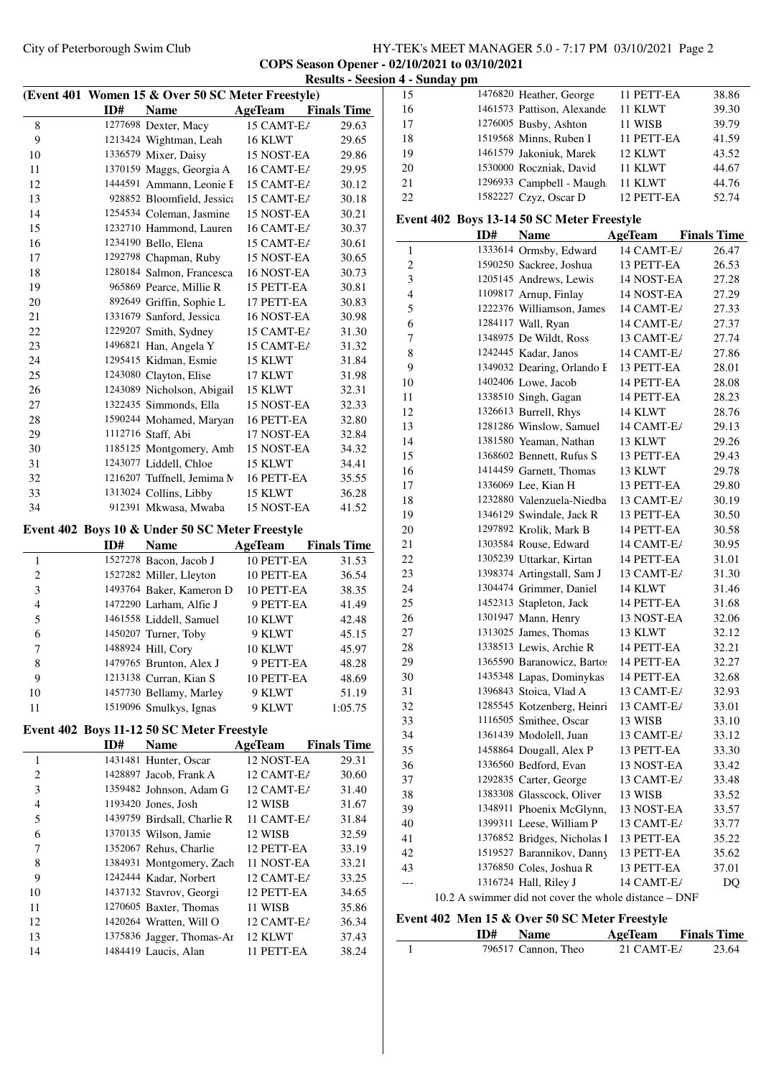# City of Peterborough Swim Club HY-TEK's MEET MANAGER 5.0 - 7:17 PM 03/10/2021 Page 2 **COPS Season Opener - 02/10/2021 to 03/10/2021**

|              |     |                                                   |                       | <b>Results - Seesion 4 - Sunday pm</b> |                       |           |
|--------------|-----|---------------------------------------------------|-----------------------|----------------------------------------|-----------------------|-----------|
|              |     | (Event 401 Women 15 & Over 50 SC Meter Freestyle) |                       |                                        | 15                    |           |
|              | ID# | <b>Name</b>                                       | <b>AgeTeam</b>        | <b>Finals Time</b>                     | 16                    |           |
| 8            |     | 1277698 Dexter, Macy                              | 15 CAMT-E/            | 29.63                                  | 17                    |           |
| 9            |     | 1213424 Wightman, Leah                            | 16 KLWT               | 29.65                                  | 18                    |           |
| 10           |     | 1336579 Mixer, Daisy                              | 15 NOST-EA            | 29.86                                  | 19                    |           |
| 11           |     | 1370159 Maggs, Georgia A                          | 16 CAMT-E/            | 29.95                                  | 20                    |           |
| 12           |     | 1444591 Ammann, Leonie F                          | 15 CAMT-E/            | 30.12                                  | 21                    |           |
| 13           |     | 928852 Bloomfield, Jessica                        | 15 CAMT-E/            | 30.18                                  | 22                    |           |
| 14           |     | 1254534 Coleman, Jasmine                          | 15 NOST-EA            | 30.21                                  | <b>Event 402 Boys</b> |           |
| 15           |     | 1232710 Hammond, Lauren                           | 16 CAMT-E/            | 30.37                                  |                       |           |
| 16           |     | 1234190 Bello, Elena                              | 15 CAMT-E/            | 30.61                                  | $\mathbf{1}$          |           |
| 17           |     | 1292798 Chapman, Ruby                             | 15 NOST-EA            | 30.65                                  | $\boldsymbol{2}$      |           |
| 18           |     | 1280184 Salmon, Francesca                         | 16 NOST-EA            | 30.73                                  | 3                     |           |
| 19           |     | 965869 Pearce, Millie R                           | 15 PETT-EA            | 30.81                                  | $\overline{4}$        |           |
| 20           |     | 892649 Griffin, Sophie L                          | 17 PETT-EA            | 30.83                                  | 5                     |           |
| 21           |     | 1331679 Sanford, Jessica                          | 16 NOST-EA            | 30.98                                  | 6                     |           |
| 22           |     | 1229207 Smith, Sydney                             | 15 CAMT-E/            | 31.30                                  | 7                     |           |
| 23           |     | 1496821 Han, Angela Y                             | 15 CAMT-E/            | 31.32                                  | $\,$ 8 $\,$           |           |
| 24           |     | 1295415 Kidman, Esmie                             | 15 KLWT               | 31.84                                  | 9                     |           |
| 25           |     | 1243080 Clayton, Elise                            | 17 KLWT               | 31.98                                  | 10                    |           |
| 26           |     | 1243089 Nicholson, Abigail                        | 15 KLWT               | 32.31                                  | 11                    |           |
| 27           |     | 1322435 Simmonds, Ella                            | 15 NOST-EA            | 32.33                                  | 12                    |           |
| 28           |     | 1590244 Mohamed, Maryan                           | 16 PETT-EA            | 32.80                                  | 13                    |           |
| 29           |     | 1112716 Staff, Abi                                | 17 NOST-EA            | 32.84                                  | 14                    |           |
| 30           |     | 1185125 Montgomery, Amb                           | 15 NOST-EA            | 34.32                                  | 15                    |           |
| 31           |     | 1243077 Liddell, Chloe                            | 15 KLWT               | 34.41                                  | 16                    |           |
| 32           |     | 1216207 Tuffnell, Jemima N                        | 16 PETT-EA            | 35.55                                  | 17                    |           |
| 33           |     | 1313024 Collins, Libby                            | 15 KLWT               | 36.28                                  | 18                    |           |
| 34           |     | 912391 Mkwasa, Mwaba                              | 15 NOST-EA            | 41.52                                  | 19                    |           |
|              |     | Event 402 Boys 10 & Under 50 SC Meter Freestyle   |                       |                                        | 20                    |           |
|              | ID# | <b>Name</b>                                       | <b>AgeTeam</b>        | <b>Finals Time</b>                     | 21                    |           |
| 1            |     | 1527278 Bacon, Jacob J                            | 10 PETT-EA            | 31.53                                  | 22                    |           |
| 2            |     | 1527282 Miller, Lleyton                           | 10 PETT-EA            | 36.54                                  | 23                    |           |
| 3            |     | 1493764 Baker, Kameron D                          | 10 PETT-EA            | 38.35                                  | 24                    |           |
| 4            |     | 1472290 Larham, Alfie J                           | 9 PETT-EA             | 41.49                                  | 25                    |           |
| 5            |     | 1461558 Liddell, Samuel                           | 10 KLWT               | 42.48                                  | 26                    |           |
| 6            |     | 1450207 Turner, Toby                              | 9 KLWT                | 45.15                                  | 27                    |           |
| 7            |     | 1488924 Hill, Cory                                | 10 KLWT               | 45.97                                  | $28\,$                |           |
| 8            |     | 1479765 Brunton, Alex J                           | 9 PETT-EA             | 48.28                                  | 29                    |           |
| 9            |     | 1213138 Curran, Kian S                            | 10 PETT-EA            | 48.69                                  | 30                    |           |
| 10           |     | 1457730 Bellamy, Marley                           | 9 KLWT                | 51.19                                  | 31                    |           |
| 11           |     | 1519096 Smulkys, Ignas                            | 9 KLWT                | 1:05.75                                | 32                    |           |
|              |     |                                                   |                       |                                        | 33                    |           |
|              |     | Event 402 Boys 11-12 50 SC Meter Freestyle        |                       |                                        | 34                    |           |
|              | ID# | <b>Name</b>                                       | <b>AgeTeam</b>        | <b>Finals Time</b>                     | 35                    |           |
| $\mathbf{1}$ |     | 1431481 Hunter, Oscar                             | 12 NOST-EA            | 29.31                                  | 36                    |           |
| 2            |     | 1428897 Jacob, Frank A                            | 12 CAMT-E/            | 30.60                                  | 37                    |           |
| 3<br>4       |     | 1359482 Johnson, Adam G<br>1193420 Jones, Josh    | 12 CAMT-E/<br>12 WISB | 31.40                                  | 38                    |           |
| 5            |     | 1439759 Birdsall, Charlie R                       | 11 CAMT-E/            | 31.67                                  | 39                    |           |
| 6            |     |                                                   |                       | 31.84                                  | 40                    |           |
| 7            |     | 1370135 Wilson, Jamie<br>1352067 Rehus, Charlie   | 12 WISB<br>12 PETT-EA | 32.59                                  | 41                    |           |
| 8            |     | 1384931 Montgomery, Zach                          | 11 NOST-EA            | 33.19<br>33.21                         | 42                    |           |
| 9            |     | 1242444 Kadar, Norbert                            | 12 CAMT-E/            | 33.25                                  | 43                    |           |
| 10           |     | 1437132 Stavrov, Georgi                           | 12 PETT-EA            | 34.65                                  |                       |           |
| 11           |     | 1270605 Baxter, Thomas                            | 11 WISB               | 35.86                                  |                       | 10.2 A sw |
| 12           |     | 1420264 Wratten, Will O                           | 12 CAMT-E/            | 36.34                                  | Event 402 Men         |           |
| 13           |     | 1375836 Jagger, Thomas-Ar                         | 12 KLWT               | 37.43                                  |                       |           |
|              |     | 1484419 Laucis, Alan                              | 11 PETT-EA            | 38.24                                  | 1                     |           |
| 14           |     |                                                   |                       |                                        |                       |           |

| 15                      |     | 1476820 Heather, George                    | 11 PETT-EA                                            | 38.86              |
|-------------------------|-----|--------------------------------------------|-------------------------------------------------------|--------------------|
| 16                      |     | 1461573 Pattison, Alexande                 | 11 KLWT                                               | 39.30              |
| 17                      |     | 1276005 Busby, Ashton                      | 11 WISB                                               | 39.79              |
| 18                      |     | 1519568 Minns, Ruben I                     | 11 PETT-EA                                            | 41.59              |
| 19                      |     | 1461579 Jakoniuk, Marek                    | 12 KLWT                                               | 43.52              |
| 20                      |     | 1530000 Roczniak, David                    | 11 KLWT                                               | 44.67              |
| 21                      |     | 1296933 Campbell - Maugh                   | 11 KLWT                                               | 44.76              |
| 22                      |     | 1582227 Czyz, Oscar D                      | 12 PETT-EA                                            | 52.74              |
|                         |     | Event 402 Boys 13-14 50 SC Meter Freestyle |                                                       |                    |
|                         | ID# | Name                                       | AgeTeam                                               | <b>Finals Time</b> |
| $\mathbf{1}$            |     | 1333614 Ormsby, Edward                     | 14 CAMT-E/                                            | 26.47              |
| $\overline{c}$          |     | 1590250 Sackree, Joshua                    | 13 PETT-EA                                            | 26.53              |
| 3                       |     | 1205145 Andrews, Lewis                     | 14 NOST-EA                                            | 27.28              |
| $\overline{\mathbf{4}}$ |     | 1109817 Arnup, Finlay                      | 14 NOST-EA                                            | 27.29              |
| 5                       |     | 1222376 Williamson, James                  | 14 CAMT-E/                                            | 27.33              |
| 6                       |     | 1284117 Wall, Ryan                         | 14 CAMT-E/                                            | 27.37              |
| 7                       |     | 1348975 De Wildt, Ross                     | 13 CAMT-E/                                            | 27.74              |
| 8                       |     | 1242445 Kadar, Janos                       | 14 CAMT-E/                                            | 27.86              |
| 9                       |     | 1349032 Dearing, Orlando F                 | 13 PETT-EA                                            | 28.01              |
| 10                      |     | 1402406 Lowe, Jacob                        | 14 PETT-EA                                            | 28.08              |
| 11                      |     | 1338510 Singh, Gagan                       | 14 PETT-EA                                            | 28.23              |
| 12                      |     | 1326613 Burrell, Rhys                      | 14 KLWT                                               | 28.76              |
| 13                      |     | 1281286 Winslow, Samuel                    | 14 CAMT-E/                                            | 29.13              |
| 14                      |     | 1381580 Yeaman, Nathan                     | 13 KLWT                                               | 29.26              |
| 15                      |     | 1368602 Bennett, Rufus S                   | 13 PETT-EA                                            | 29.43              |
| 16                      |     | 1414459 Garnett, Thomas                    | 13 KLWT                                               | 29.78              |
| 17                      |     | 1336069 Lee, Kian H                        | 13 PETT-EA                                            | 29.80              |
| 18                      |     | 1232880 Valenzuela-Niedba                  | 13 CAMT-E/                                            | 30.19              |
| 19                      |     | 1346129 Swindale, Jack R                   | 13 PETT-EA                                            | 30.50              |
| 20                      |     | 1297892 Krolik, Mark B                     | 14 PETT-EA                                            | 30.58              |
| 21                      |     | 1303584 Rouse, Edward                      | 14 CAMT-E/                                            | 30.95              |
| 22                      |     | 1305239 Uttarkar, Kirtan                   | 14 PETT-EA                                            | 31.01              |
| 23                      |     | 1398374 Artingstall, Sam J                 | 13 CAMT-E/                                            | 31.30              |
| 24                      |     | 1304474 Grimmer, Daniel                    | 14 KLWT                                               | 31.46              |
| 25                      |     | 1452313 Stapleton, Jack                    | 14 PETT-EA                                            | 31.68              |
| 26                      |     | 1301947 Mann, Henry                        | 13 NOST-EA                                            | 32.06              |
| 27                      |     | 1313025 James, Thomas                      | 13 KLWT                                               | 32.12              |
| 28                      |     | 1338513 Lewis, Archie R                    | 14 PETT-EA                                            | 32.21              |
| 29                      |     | 1365590 Baranowicz, Bartos                 | 14 PETT-EA                                            | 32.27              |
| 30                      |     | 1435348 Lapas, Dominykas                   | 14 PETT-EA                                            | 32.68              |
| 31                      |     | 1396843 Stoica, Vlad A                     | 13 CAMT-E/                                            | 32.93              |
| 32                      |     | 1285545 Kotzenberg, Heinri                 | 13 CAMT-E/                                            | 33.01              |
| 33                      |     | 1116505 Smithee, Oscar                     | 13 WISB                                               | 33.10              |
| 34                      |     | 1361439 Modolell, Juan                     | 13 CAMT-E/                                            | 33.12              |
| 35                      |     | 1458864 Dougall, Alex P                    | 13 PETT-EA                                            | 33.30              |
| 36                      |     | 1336560 Bedford, Evan                      | 13 NOST-EA                                            | 33.42              |
| 37                      |     | 1292835 Carter, George                     | 13 CAMT-E/                                            | 33.48              |
| 38                      |     | 1383308 Glasscock, Oliver                  | 13 WISB                                               | 33.52              |
| 39                      |     | 1348911 Phoenix McGlynn,                   | 13 NOST-EA                                            | 33.57              |
| 40                      |     | 1399311 Leese, William P                   | 13 CAMT-E/                                            | 33.77              |
| 41                      |     | 1376852 Bridges, Nicholas I                | 13 PETT-EA                                            | 35.22              |
| 42                      |     | 1519527 Barannikov, Danny                  | 13 PETT-EA                                            | 35.62              |
| 43                      |     | 1376850 Coles, Joshua R                    | 13 PETT-EA                                            | 37.01              |
| ---                     |     | 1316724 Hall, Riley J                      | 14 CAMT-E/                                            | DQ                 |
|                         |     |                                            | 10.2 A swimmer did not cover the whole distance - DNF |                    |

# **Event 402 Men 15 & Over 50 SC Meter Freestyle<br>ID#** Name AgeTeam

| ID# | <b>Name</b>         | AgeTeam       | <b>Finals Time</b> |
|-----|---------------------|---------------|--------------------|
|     | 796517 Cannon, Theo | 21 CAMT- $E/$ | 23.64              |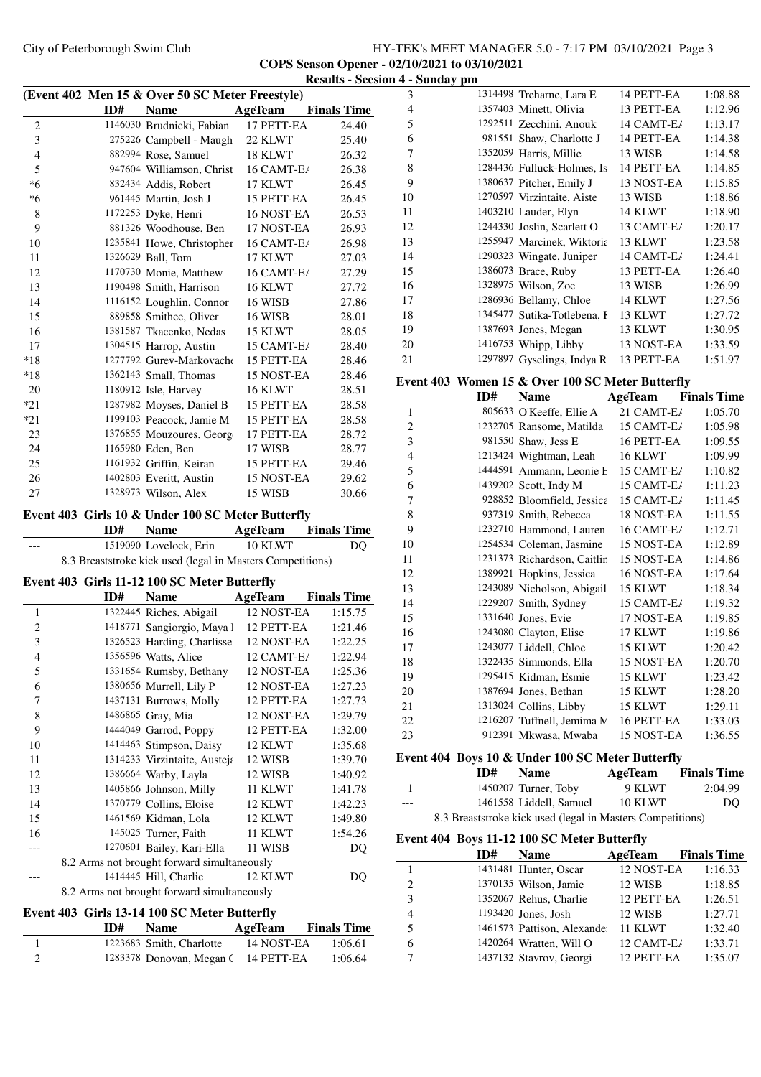# City of Peterborough Swim Club HY-TEK's MEET MANAGER 5.0 - 7:17 PM 03/10/2021 Page 3 **COPS Season Opener - 02/10/2021 to 03/10/2021**

|                |     | (Event 402 Men 15 & Over 50 SC Meter Freestyle)                                             |                |                    |
|----------------|-----|---------------------------------------------------------------------------------------------|----------------|--------------------|
|                | ID# | <b>Name</b>                                                                                 | <b>AgeTeam</b> | <b>Finals Time</b> |
| 2              |     | 1146030 Brudnicki, Fabian                                                                   | 17 PETT-EA     | 24.40              |
| 3              |     | 275226 Campbell - Maugh                                                                     | 22 KLWT        | 25.40              |
| 4              |     | 882994 Rose, Samuel                                                                         | 18 KLWT        | 26.32              |
| 5              |     | 947604 Williamson, Christ                                                                   | 16 CAMT-E/     | 26.38              |
| *6             |     | 832434 Addis, Robert                                                                        | 17 KLWT        | 26.45              |
| *6             |     | 961445 Martin, Josh J                                                                       | 15 PETT-EA     | 26.45              |
| 8              |     | 1172253 Dyke, Henri                                                                         | 16 NOST-EA     | 26.53              |
| 9              |     | 881326 Woodhouse, Ben                                                                       | 17 NOST-EA     | 26.93              |
| 10             |     | 1235841 Howe, Christopher                                                                   | 16 CAMT-E/     | 26.98              |
| 11             |     | 1326629 Ball, Tom                                                                           | 17 KLWT        | 27.03              |
| 12             |     | 1170730 Monie, Matthew                                                                      | 16 CAMT-E/     | 27.29              |
| 13             |     | 1190498 Smith, Harrison                                                                     | 16 KLWT        | 27.72              |
| 14             |     | 1116152 Loughlin, Connor                                                                    | 16 WISB        | 27.86              |
| 15             |     | 889858 Smithee, Oliver                                                                      | 16 WISB        | 28.01              |
| 16             |     | 1381587 Tkacenko, Nedas                                                                     | 15 KLWT        | 28.05              |
| 17             |     | 1304515 Harrop, Austin                                                                      | 15 CAMT-E/     | 28.40              |
| $*18$          |     | 1277792 Gurev-Markovache                                                                    | 15 PETT-EA     | 28.46              |
| *18            |     | 1362143 Small, Thomas                                                                       | 15 NOST-EA     | 28.46              |
| 20             |     | 1180912 Isle, Harvey                                                                        | 16 KLWT        | 28.51              |
| $*21$          |     | 1287982 Moyses, Daniel B                                                                    | 15 PETT-EA     | 28.58              |
| $*21$          |     | 1199103 Peacock, Jamie M                                                                    | 15 PETT-EA     | 28.58              |
| 23             |     | 1376855 Mouzoures, George                                                                   | 17 PETT-EA     | 28.72              |
| 24             |     | 1165980 Eden, Ben                                                                           | 17 WISB        | 28.77              |
| 25             |     | 1161932 Griffin, Keiran                                                                     | 15 PETT-EA     | 29.46              |
| 26             |     | 1402803 Everitt, Austin                                                                     | 15 NOST-EA     | 29.62              |
| 27             |     | 1328973 Wilson, Alex                                                                        | 15 WISB        | 30.66              |
|                |     | Event 403 Girls 10 & Under 100 SC Meter Butterfly                                           |                |                    |
|                |     |                                                                                             |                |                    |
|                | ID# | <b>Name</b>                                                                                 | AgeTeam        | <b>Finals Time</b> |
|                |     | 1519090 Lovelock, Erin                                                                      | 10 KLWT        | DQ.                |
|                |     | 8.3 Breaststroke kick used (legal in Masters Competitions)                                  |                |                    |
|                |     | Event 403 Girls 11-12 100 SC Meter Butterfly                                                |                |                    |
|                | ID# | <b>Name</b>                                                                                 | <b>AgeTeam</b> | <b>Finals Time</b> |
| 1              |     | 1322445 Riches, Abigail                                                                     | 12 NOST-EA     | 1:15.75            |
| $\overline{c}$ |     | 1418771 Sangiorgio, Maya l                                                                  | 12 PETT-EA     | 1:21.46            |
| 3              |     | 1326523 Harding, Charlisse                                                                  | 12 NOST-EA     | 1:22.25            |
| $\overline{4}$ |     | 1356596 Watts, Alice                                                                        | 12 CAMT-E/     | 1:22.94            |
| 5              |     | 1331654 Rumsby, Bethany                                                                     | 12 NOST-EA     | 1:25.36            |
| 6              |     | 1380656 Murrell, Lily P                                                                     | 12 NOST-EA     | 1:27.23            |
| 7              |     | 1437131 Burrows, Molly                                                                      | 12 PETT-EA     | 1:27.73            |
| 8              |     | 1486865 Gray, Mia                                                                           | 12 NOST-EA     | 1:29.79            |
| 9              |     |                                                                                             | 12 PETT-EA     | 1:32.00            |
| 10             |     | 1444049 Garrod, Poppy<br>1414463 Stimpson, Daisy                                            | 12 KLWT        | 1:35.68            |
| 11             |     |                                                                                             | 12 WISB        |                    |
| 12             |     | 1314233 Virzintaite, Austeja                                                                | 12 WISB        | 1:39.70<br>1:40.92 |
| 13             |     | 1386664 Warby, Layla                                                                        | 11 KLWT        | 1:41.78            |
| 14             |     | 1405866 Johnson, Milly<br>1370779 Collins, Eloise                                           | 12 KLWT        | 1:42.23            |
| 15             |     | 1461569 Kidman, Lola                                                                        | 12 KLWT        | 1:49.80            |
| 16             |     |                                                                                             | 11 KLWT        | 1:54.26            |
| ---            |     | 145025 Turner, Faith                                                                        | 11 WISB        |                    |
|                |     | 1270601 Bailey, Kari-Ella                                                                   |                | DQ                 |
|                |     | 8.2 Arms not brought forward simultaneously                                                 | 12 KLWT        |                    |
|                |     | 1414445 Hill, Charlie                                                                       |                | DQ                 |
|                |     | 8.2 Arms not brought forward simultaneously<br>Event 403 Girls 13-14 100 SC Meter Butterfly |                |                    |

|                | ID# | <b>Name</b>                         | AgeTeam    | <b>Finals Time</b> |
|----------------|-----|-------------------------------------|------------|--------------------|
|                |     | 1223683 Smith, Charlotte            | 14 NOST-EA | 1:06.61            |
| $\overline{2}$ |     | 1283378 Donovan, Megan C 14 PETT-EA |            | 1:06.64            |

|   |                    | <b>Results - Seesion 4 - Sunday pm</b> |                                                  |            |         |
|---|--------------------|----------------------------------------|--------------------------------------------------|------------|---------|
|   |                    | 3                                      | 1314498 Treharne, Lara E                         | 14 PETT-EA | 1:08.88 |
|   | <b>Finals Time</b> | $\overline{4}$                         | 1357403 Minett, Olivia                           | 13 PETT-EA | 1:12.96 |
|   | 24.40              | 5                                      | 1292511 Zecchini, Anouk                          | 14 CAMT-E/ | 1:13.17 |
|   | 25.40              | 6                                      | 981551 Shaw, Charlotte J                         | 14 PETT-EA | 1:14.38 |
|   | 26.32              | $\overline{7}$                         | 1352059 Harris, Millie                           | 13 WISB    | 1:14.58 |
| ŀ | 26.38              | 8                                      | 1284436 Fulluck-Holmes, Is                       | 14 PETT-EA | 1:14.85 |
|   | 26.45              | 9                                      | 1380637 Pitcher, Emily J                         | 13 NOST-EA | 1:15.85 |
|   | 26.45              | 10                                     | 1270597 Virzintaite, Aiste                       | 13 WISB    | 1:18.86 |
| Y | 26.53              | 11                                     | 1403210 Lauder, Elyn                             | 14 KLWT    | 1:18.90 |
| ١ | 26.93              | 12                                     | 1244330 Joslin, Scarlett O                       | 13 CAMT-E/ | 1:20.17 |
| ŀ | 26.98              | 13                                     | 1255947 Marcinek, Wiktoria                       | 13 KLWT    | 1:23.58 |
|   | 27.03              | 14                                     | 1290323 Wingate, Juniper                         | 14 CAMT-E/ | 1:24.41 |
| ŀ | 27.29              | 15                                     | 1386073 Brace, Ruby                              | 13 PETT-EA | 1:26.40 |
|   | 27.72              | 16                                     | 1328975 Wilson, Zoe                              | 13 WISB    | 1:26.99 |
|   | 27.86              | 17                                     | 1286936 Bellamy, Chloe                           | 14 KLWT    | 1:27.56 |
|   | 28.01              | 18                                     | 1345477 Sutika-Totlebena, I                      | 13 KLWT    | 1:27.72 |
|   | 28.05              | 19                                     | 1387693 Jones, Megan                             | 13 KLWT    | 1:30.95 |
| ŀ | 28.40              | 20                                     | 1416753 Whipp, Libby                             | 13 NOST-EA | 1:33.59 |
|   | 28.46              | 21                                     | 1297897 Gyselings, Indya R                       | 13 PETT-EA | 1:51.97 |
| Y | 28.46              |                                        | Event 403 Women 15 & Over 100 SC Meter Butterfly |            |         |

**Event 403 Women 15 & Over 100 SC Meter Butterfly**

|                | ID# | Name                                | AgeTeam    | <b>Finals Time</b> |
|----------------|-----|-------------------------------------|------------|--------------------|
| 1              |     | 805633 O'Keeffe, Ellie A            | 21 CAMT-E/ | 1:05.70            |
| $\overline{c}$ |     | 1232705 Ransome, Matilda            | 15 CAMT-E/ | 1:05.98            |
| 3              |     | 981550 Shaw, Jess E                 | 16 PETT-EA | 1:09.55            |
| $\overline{4}$ |     | 1213424 Wightman, Leah              | 16 KLWT    | 1:09.99            |
| 5              |     | 1444591 Ammann, Leonie F 15 CAMT-E/ |            | 1:10.82            |
| 6              |     | 1439202 Scott, Indy M               | 15 CAMT-E/ | 1:11.23            |
| 7              |     | 928852 Bloomfield, Jessica          | 15 CAMT-E/ | 1:11.45            |
| 8              |     | 937319 Smith, Rebecca               | 18 NOST-EA | 1:11.55            |
| 9              |     | 1232710 Hammond, Lauren             | 16 CAMT-E/ | 1:12.71            |
| 10             |     | 1254534 Coleman, Jasmine            | 15 NOST-EA | 1:12.89            |
| 11             |     | 1231373 Richardson, Caitlin         | 15 NOST-EA | 1:14.86            |
| 12             |     | 1389921 Hopkins, Jessica            | 16 NOST-EA | 1:17.64            |
| 13             |     | 1243089 Nicholson, Abigail          | 15 KLWT    | 1:18.34            |
| 14             |     | 1229207 Smith, Sydney               | 15 CAMT-E/ | 1:19.32            |
| 15             |     | 1331640 Jones, Evie                 | 17 NOST-EA | 1:19.85            |
| 16             |     | 1243080 Clayton, Elise              | 17 KLWT    | 1:19.86            |
| 17             |     | 1243077 Liddell, Chloe              | 15 KLWT    | 1:20.42            |
| 18             |     | 1322435 Simmonds, Ella              | 15 NOST-EA | 1:20.70            |
| 19             |     | 1295415 Kidman, Esmie               | 15 KLWT    | 1:23.42            |
| 20             |     | 1387694 Jones, Bethan               | 15 KLWT    | 1:28.20            |
| 21             |     | 1313024 Collins, Libby              | 15 KLWT    | 1:29.11            |
| 22             |     | 1216207 Tuffnell, Jemima M          | 16 PETT-EA | 1:33.03            |
| 23             |     | 912391 Mkwasa, Mwaba                | 15 NOST-EA | 1:36.55            |

#### **Event 404 Boys 10 & Under 100 SC Meter Butterfly**

| ID# | <b>Name</b>                                                | AgeTeam | <b>Finals Time</b> |
|-----|------------------------------------------------------------|---------|--------------------|
|     | 1450207 Turner, Toby                                       | 9 KLWT  | 2:04.99            |
|     | 1461558 Liddell, Samuel                                    | 10 KLWT | DO                 |
|     | 8.3 Breaststroke kick used (legal in Masters Competitions) |         |                    |

#### **Event 404 Boys 11-12 100 SC Meter Butterfly**

|                | ID# | <b>Name</b>                | AgeTeam    | <b>Finals Time</b> |
|----------------|-----|----------------------------|------------|--------------------|
|                |     | 1431481 Hunter, Oscar      | 12 NOST-EA | 1:16.33            |
| $\overline{2}$ |     | 1370135 Wilson, Jamie      | 12 WISB    | 1:18.85            |
| 3              |     | 1352067 Rehus, Charlie     | 12 PETT-EA | 1:26.51            |
| 4              |     | 1193420 Jones, Josh        | 12 WISB    | 1:27.71            |
| 5              |     | 1461573 Pattison, Alexande | 11 KLWT    | 1:32.40            |
| 6              |     | 1420264 Wratten, Will O    | 12 CAMT-E/ | 1:33.71            |
|                |     | 1437132 Stavrov, Georgi    | 12 PETT-EA | 1:35.07            |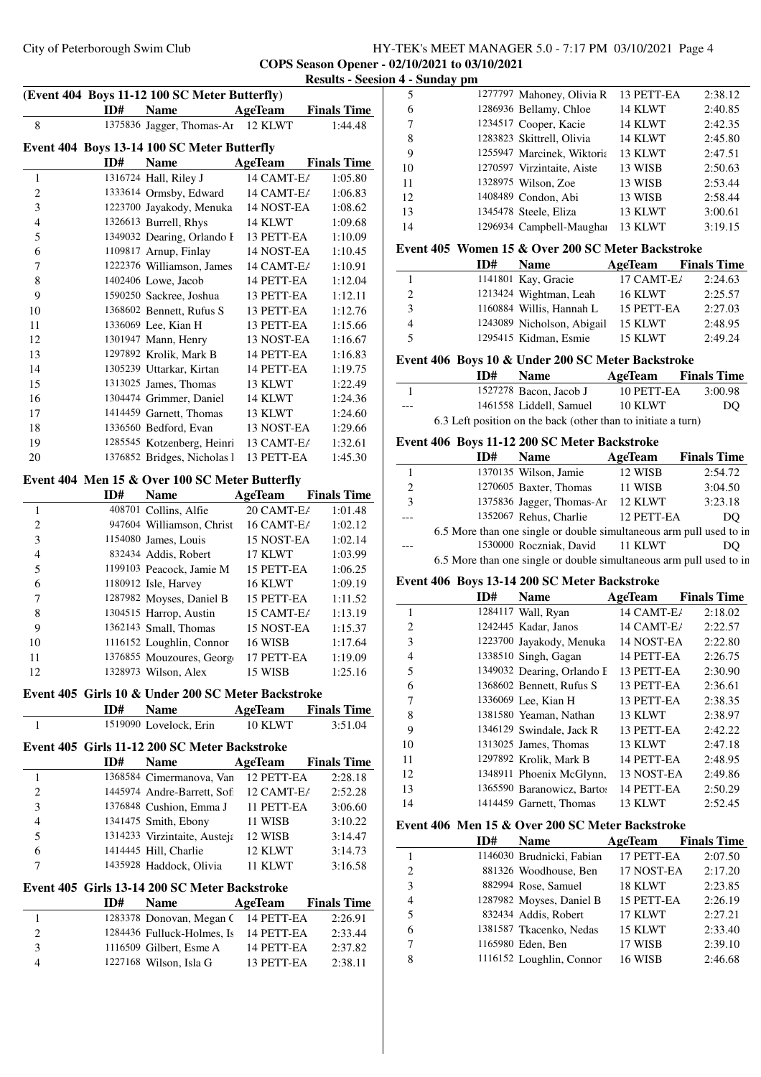#### City of Peterborough Swim Club HY-TEK's MEET MANAGER 5.0 - 7:17 PM 03/10/2021 Page 4 **COPS Season Opener - 02/10/2021 to 03/10/2021 Results - Seesion 4 - Sunday pm**

|                |     |                                                |                | Results - See:     |
|----------------|-----|------------------------------------------------|----------------|--------------------|
|                |     | (Event 404 Boys 11-12 100 SC Meter Butterfly)  |                |                    |
|                | ID# | <b>Name</b>                                    | AgeTeam        | <b>Finals Time</b> |
| 8              |     | 1375836 Jagger, Thomas-Ar                      | 12 KLWT        | 1:44.48            |
|                |     | Event 404 Boys 13-14 100 SC Meter Butterfly    |                |                    |
|                | ID# | <b>Name</b>                                    | <b>AgeTeam</b> | <b>Finals Time</b> |
| 1              |     | 1316724 Hall, Riley J                          | 14 CAMT-E/     | 1:05.80            |
| $\overline{c}$ |     | 1333614 Ormsby, Edward                         | 14 CAMT-E/     | 1:06.83            |
| 3              |     | 1223700 Jayakody, Menuka                       | 14 NOST-EA     | 1:08.62            |
| $\overline{4}$ |     | 1326613 Burrell, Rhys                          | 14 KLWT        | 1:09.68            |
| 5              |     | 1349032 Dearing, Orlando I                     | 13 PETT-EA     | 1:10.09            |
| 6              |     | 1109817 Arnup, Finlay                          | 14 NOST-EA     | 1:10.45            |
| $\sqrt{ }$     |     | 1222376 Williamson, James                      | 14 CAMT-E/     | 1:10.91            |
| 8              |     | 1402406 Lowe, Jacob                            | 14 PETT-EA     | 1:12.04            |
| 9              |     | 1590250 Sackree, Joshua                        | 13 PETT-EA     | 1:12.11            |
| 10             |     | 1368602 Bennett, Rufus S                       | 13 PETT-EA     | 1:12.76            |
| 11             |     | 1336069 Lee, Kian H                            | 13 PETT-EA     | 1:15.66            |
| 12             |     | 1301947 Mann, Henry                            | 13 NOST-EA     | 1:16.67            |
| 13             |     | 1297892 Krolik, Mark B                         | 14 PETT-EA     | 1:16.83            |
| 14             |     | 1305239 Uttarkar, Kirtan                       | 14 PETT-EA     | 1:19.75            |
| 15             |     | 1313025 James, Thomas                          | 13 KLWT        | 1:22.49            |
| 16             |     | 1304474 Grimmer, Daniel                        | 14 KLWT        | 1:24.36            |
| 17             |     | 1414459 Garnett, Thomas                        | 13 KLWT        | 1:24.60            |
| 18             |     | 1336560 Bedford, Evan                          | 13 NOST-EA     | 1:29.66            |
| 19             |     | 1285545 Kotzenberg, Heinri                     | 13 CAMT-E/     | 1:32.61            |
| 20             |     | 1376852 Bridges, Nicholas I                    | 13 PETT-EA     | 1:45.30            |
|                |     | Event 404 Men 15 & Over 100 SC Meter Butterfly |                |                    |
|                | ID# | <b>Name</b>                                    | <b>AgeTeam</b> | <b>Finals Time</b> |
| 1              |     | 408701 Collins, Alfie                          | 20 CAMT-E/     | 1:01.48            |
| $\overline{c}$ |     | 947604 Williamson, Christ                      | 16 CAMT-E/     | 1:02.12            |
| 3              |     | 1154080 James, Louis                           | 15 NOST-EA     | 1:02.14            |
| 4              |     | 832434 Addis, Robert                           | 17 KLWT        | 1:03.99            |
| 5              |     | 1199103 Peacock, Jamie M                       | 15 PETT-EA     | 1:06.25            |
| 6              |     | 1180912 Isle, Harvey                           | 16 KLWT        | 1:09.19            |
| 7              |     | 1287982 Moyses, Daniel B                       | 15 PETT-EA     | 1:11.52            |
| 8              |     | 1304515 Harrop, Austin                         | 15 CAMT-E/     | 1:13.19            |
| 9              |     | 1362143 Small, Thomas                          | 15 NOST-EA     | 1:15.37            |
| 10             |     | 1116152 Loughlin, Connor                       | 16 WISB        | 1:17.64            |
| 11             |     | 1376855 Mouzoures, George                      | 17 PETT-EA     | 1:19.09            |
| 12             |     | 1328973 Wilson, Alex                           | 15 WISB        | 1:25.16            |

## **Event 405 Girls 10 & Under 200 SC Meter Backstroke**

**ID# Name AgeTeam Finals Time** 1519090 Lovelock, Erin 10 KLWT 3:51.04

#### **Event 405 Girls 11-12 200 SC Meter Backstroke**

|                             | ID# | <b>Name</b>                  | AgeTeam    | <b>Finals Time</b> |
|-----------------------------|-----|------------------------------|------------|--------------------|
|                             |     | 1368584 Cimermanova, Van     | 12 PETT-EA | 2:28.18            |
| $\mathcal{D}_{\mathcal{L}}$ |     | 1445974 Andre-Barrett, Sofi  | 12 CAMT-E/ | 2:52.28            |
| 3                           |     | 1376848 Cushion, Emma J      | 11 PETT-EA | 3:06.60            |
| 4                           |     | 1341475 Smith, Ebony         | 11 WISB    | 3:10.22            |
| 5                           |     | 1314233 Virzintaite, Austeja | 12 WISB    | 3:14.47            |
| 6                           |     | 1414445 Hill, Charlie        | 12 KLWT    | 3:14.73            |
| 7                           |     | 1435928 Haddock, Olivia      | 11 KLWT    | 3:16.58            |

#### **Event 405 Girls 13-14 200 SC Meter Backstroke**

|   | ID# | <b>Name</b>                           | AgeTeam    | <b>Finals Time</b> |
|---|-----|---------------------------------------|------------|--------------------|
|   |     | 1283378 Donovan, Megan C 14 PETT-EA   |            | 2:26.91            |
|   |     | 1284436 Fulluck-Holmes, Is 14 PETT-EA |            | 2:33.44            |
| 3 |     | 1116509 Gilbert, Esme A               | 14 PETT-EA | 2:37.82            |
|   |     | 1227168 Wilson, Isla G                | 13 PETT-EA | 2:38.11            |

| 5  | 1277797 Mahoney, Olivia R  | 13 PETT-EA | 2:38.12 |
|----|----------------------------|------------|---------|
| 6  | 1286936 Bellamy, Chloe     | 14 KLWT    | 2:40.85 |
| 7  | 1234517 Cooper, Kacie      | 14 KLWT    | 2:42.35 |
| 8  | 1283823 Skittrell, Olivia  | 14 KLWT    | 2:45.80 |
| 9  | 1255947 Marcinek, Wiktoria | 13 KLWT    | 2:47.51 |
| 10 | 1270597 Virzintaite, Aiste | 13 WISB    | 2:50.63 |
| 11 | 1328975 Wilson, Zoe        | 13 WISB    | 2:53.44 |
| 12 | 1408489 Condon, Abi        | 13 WISB    | 2:58.44 |
| 13 | 1345478 Steele, Eliza      | 13 KLWT    | 3:00.61 |
| 14 | 1296934 Campbell-Maughai   | 13 KLWT    | 3:19.15 |
|    |                            |            |         |

### **Event 405 Women 15 & Over 200 SC Meter Backstroke**

|             | ID# | <b>Name</b>                                                                                                                                                                                                                                                                                                                                                                                                            | AgeTeam    | <b>Finals Time</b> |
|-------------|-----|------------------------------------------------------------------------------------------------------------------------------------------------------------------------------------------------------------------------------------------------------------------------------------------------------------------------------------------------------------------------------------------------------------------------|------------|--------------------|
|             |     | 1141801 Kay, Gracie                                                                                                                                                                                                                                                                                                                                                                                                    | 17 CAMT-E/ | 2:24.63            |
| 2           |     | 1213424 Wightman, Leah                                                                                                                                                                                                                                                                                                                                                                                                 | 16 KLWT    | 2:25.57            |
| 3           |     | 1160884 Willis, Hannah L                                                                                                                                                                                                                                                                                                                                                                                               | 15 PETT-EA | 2:27.03            |
| 4           |     | 1243089 Nicholson, Abigail                                                                                                                                                                                                                                                                                                                                                                                             | 15 KLWT    | 2:48.95            |
| 5           |     | 1295415 Kidman, Esmie                                                                                                                                                                                                                                                                                                                                                                                                  | 15 KLWT    | 2:49.24            |
| $\sqrt{10}$ |     | $\mathbf{A} \mathbf{A} \mathbf{A} \mathbf{A} \mathbf{A} \mathbf{A} \mathbf{A} \mathbf{A} \mathbf{A} \mathbf{A} \mathbf{A} \mathbf{A} \mathbf{A} \mathbf{A} \mathbf{A} \mathbf{A} \mathbf{A} \mathbf{A} \mathbf{A} \mathbf{A} \mathbf{A} \mathbf{A} \mathbf{A} \mathbf{A} \mathbf{A} \mathbf{A} \mathbf{A} \mathbf{A} \mathbf{A} \mathbf{A} \mathbf{A} \mathbf{A} \mathbf{A} \mathbf{A} \mathbf{A} \mathbf{A} \mathbf{$ |            |                    |

#### **Event 406 Boys 10 & Under 200 SC Meter Backstroke**

|     | ID# | <b>Name</b>                                                   | AgeTeam        | <b>Finals Time</b> |
|-----|-----|---------------------------------------------------------------|----------------|--------------------|
|     |     | 1527278 Bacon, Jacob J                                        | 10 PETT-EA     | 3:00.98            |
| --- |     | 1461558 Liddell, Samuel                                       | <b>10 KLWT</b> | DO                 |
|     |     | 6.3 Left position on the back (other than to initiate a turn) |                |                    |

#### **Event 406 Boys 11-12 200 SC Meter Backstroke**

 $\overline{\phantom{a}}$ 

|                       | ID# | <b>Name</b>                                                                                                                       | AgeTeam | <b>Finals Time</b>                      |
|-----------------------|-----|-----------------------------------------------------------------------------------------------------------------------------------|---------|-----------------------------------------|
|                       |     | 1370135 Wilson, Jamie                                                                                                             | 12 WISB | 2:54.72                                 |
| $\mathcal{D}_{\cdot}$ |     | 1270605 Baxter, Thomas                                                                                                            | 11 WISB | 3:04.50                                 |
| $\mathcal{F}$         |     | 1375836 Jagger, Thomas-Ar                                                                                                         | 12 KLWT | 3:23.18                                 |
|                       |     | 1352067 Rehus, Charlie 12 PETT-EA                                                                                                 |         | DO                                      |
|                       |     | 6.5 More than one single or double simultaneous arm pull used to in                                                               |         |                                         |
|                       |     | 1530000 Roczniak, David 11 KLWT                                                                                                   |         | DO                                      |
|                       |     | $\sqrt{2}$ , and $\sqrt{2}$ , and $\sqrt{2}$ , and $\sqrt{2}$ , and $\sqrt{2}$ , and $\sqrt{2}$ , and $\sqrt{2}$ , and $\sqrt{2}$ |         | $\mathbf{11}$ $\mathbf{1}$ $\mathbf{1}$ |

6.5 More than one single or double simultaneous arm pull used to in

#### **Event 406 Boys 13-14 200 SC Meter Backstroke**

|                | ID# | <b>Name</b>                | AgeTeam    | <b>Finals Time</b> |
|----------------|-----|----------------------------|------------|--------------------|
| 1              |     | 1284117 Wall, Ryan         | 14 CAMT-E/ | 2:18.02            |
| $\overline{2}$ |     | 1242445 Kadar, Janos       | 14 CAMT-E/ | 2:22.57            |
| 3              |     | 1223700 Jayakody, Menuka   | 14 NOST-EA | 2:22.80            |
| $\overline{4}$ |     | 1338510 Singh, Gagan       | 14 PETT-EA | 2:26.75            |
| 5              |     | 1349032 Dearing, Orlando F | 13 PETT-EA | 2:30.90            |
| 6              |     | 1368602 Bennett, Rufus S   | 13 PETT-EA | 2:36.61            |
| 7              |     | 1336069 Lee, Kian H        | 13 PETT-EA | 2:38.35            |
| 8              |     | 1381580 Yeaman, Nathan     | 13 KLWT    | 2:38.97            |
| 9              |     | 1346129 Swindale, Jack R   | 13 PETT-EA | 2:42.22            |
| 10             |     | 1313025 James, Thomas      | 13 KLWT    | 2:47.18            |
| 11             |     | 1297892 Krolik, Mark B     | 14 PETT-EA | 2:48.95            |
| 12             |     | 1348911 Phoenix McGlynn,   | 13 NOST-EA | 2:49.86            |
| 13             |     | 1365590 Baranowicz, Bartos | 14 PETT-EA | 2:50.29            |
| 14             |     | 1414459 Garnett, Thomas    | 13 KLWT    | 2:52.45            |

#### **Event 406 Men 15 & Over 200 SC Meter Backstroke**

|                | ID# | <b>Name</b>               | AgeTeam    | <b>Finals Time</b> |
|----------------|-----|---------------------------|------------|--------------------|
|                |     | 1146030 Brudnicki, Fabian | 17 PETT-EA | 2:07.50            |
| $\overline{c}$ |     | 881326 Woodhouse, Ben     | 17 NOST-EA | 2:17.20            |
| 3              |     | 882994 Rose, Samuel       | 18 KLWT    | 2:23.85            |
| 4              |     | 1287982 Moyses, Daniel B  | 15 PETT-EA | 2:26.19            |
| 5              |     | 832434 Addis, Robert      | 17 KLWT    | 2:27.21            |
| 6              |     | 1381587 Tkacenko, Nedas   | 15 KLWT    | 2:33.40            |
| 7              |     | 1165980 Eden, Ben         | 17 WISB    | 2:39.10            |
| 8              |     | 1116152 Loughlin, Connor  | 16 WISB    | 2:46.68            |